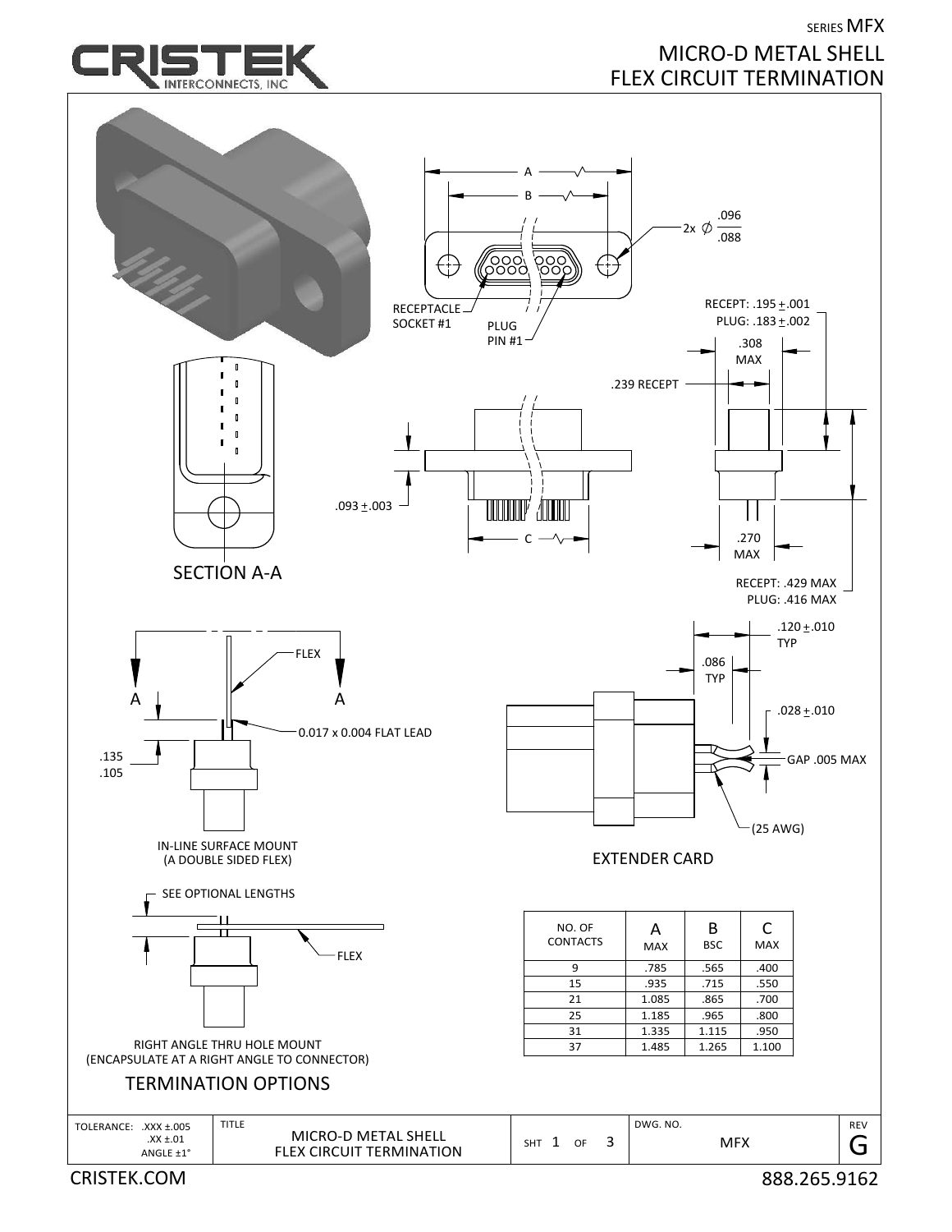

CRISTEK.COM 888.265.9162

SERIES MFX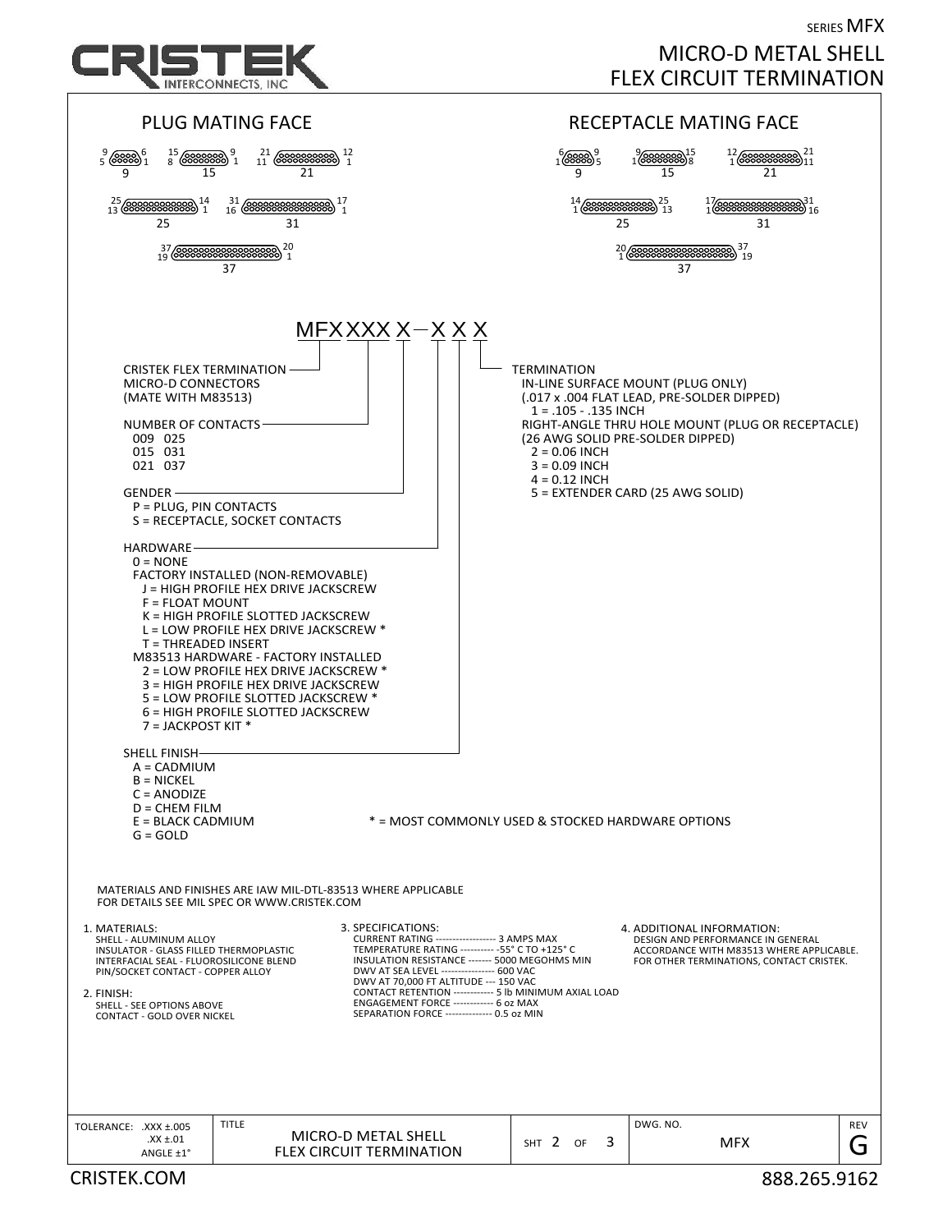

## SERIES MFX MICRO‐D METAL SHELL FLEX CIRCUIT TERMINATION